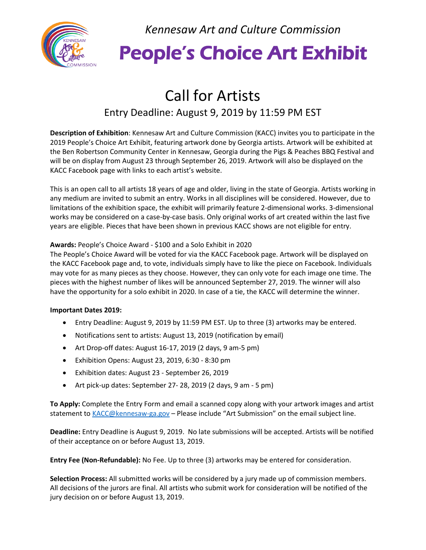

*Kennesaw Art and Culture Commission*

## People's Choice Art Exhibit

## Call for Artists

#### Entry Deadline: August 9, 2019 by 11:59 PM EST

**Description of Exhibition**: Kennesaw Art and Culture Commission (KACC) invites you to participate in the 2019 People's Choice Art Exhibit, featuring artwork done by Georgia artists. Artwork will be exhibited at the Ben Robertson Community Center in Kennesaw, Georgia during the Pigs & Peaches BBQ Festival and will be on display from August 23 through September 26, 2019. Artwork will also be displayed on the KACC Facebook page with links to each artist's website.

This is an open call to all artists 18 years of age and older, living in the state of Georgia. Artists working in any medium are invited to submit an entry. Works in all disciplines will be considered. However, due to limitations of the exhibition space, the exhibit will primarily feature 2-dimensional works. 3-dimensional works may be considered on a case-by-case basis. Only original works of art created within the last five years are eligible. Pieces that have been shown in previous KACC shows are not eligible for entry.

#### **Awards:** People's Choice Award - \$100 and a Solo Exhibit in 2020

The People's Choice Award will be voted for via the KACC Facebook page. Artwork will be displayed on the KACC Facebook page and, to vote, individuals simply have to like the piece on Facebook. Individuals may vote for as many pieces as they choose. However, they can only vote for each image one time. The pieces with the highest number of likes will be announced September 27, 2019. The winner will also have the opportunity for a solo exhibit in 2020. In case of a tie, the KACC will determine the winner.

#### **Important Dates 2019:**

- Entry Deadline: August 9, 2019 by 11:59 PM EST. Up to three (3) artworks may be entered.
- Notifications sent to artists: August 13, 2019 (notification by email)
- Art Drop-off dates: August 16-17, 2019 (2 days, 9 am-5 pm)
- Exhibition Opens: August 23, 2019, 6:30 8:30 pm
- Exhibition dates: August 23 September 26, 2019
- Art pick-up dates: September 27- 28, 2019 (2 days, 9 am 5 pm)

**To Apply:** Complete the Entry Form and email a scanned copy along with your artwork images and artist statement t[o KACC@kennesaw-ga.gov](mailto:KACC@kennesaw-ga.gov) – Please include "Art Submission" on the email subject line.

**Deadline:** Entry Deadline is August 9, 2019. No late submissions will be accepted. Artists will be notified of their acceptance on or before August 13, 2019.

**Entry Fee (Non-Refundable):** No Fee. Up to three (3) artworks may be entered for consideration.

**Selection Process:** All submitted works will be considered by a jury made up of commission members. All decisions of the jurors are final. All artists who submit work for consideration will be notified of the jury decision on or before August 13, 2019.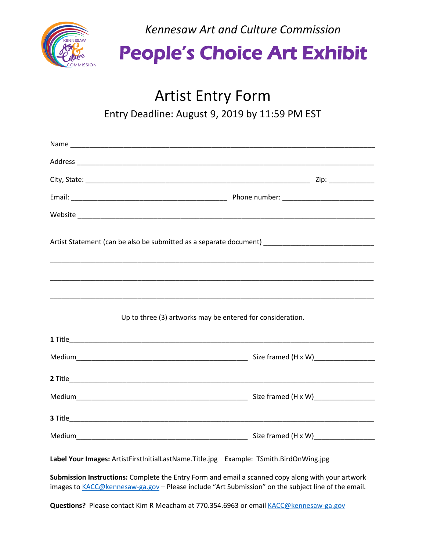

*Kennesaw Art and Culture Commission*

## People's Choice Art Exhibit

## Artist Entry Form

Entry Deadline: August 9, 2019 by 11:59 PM EST

| Artist Statement (can be also be submitted as a separate document) ________________________________ |  |
|-----------------------------------------------------------------------------------------------------|--|
|                                                                                                     |  |
| Up to three (3) artworks may be entered for consideration.                                          |  |
|                                                                                                     |  |
|                                                                                                     |  |
|                                                                                                     |  |
|                                                                                                     |  |
|                                                                                                     |  |
|                                                                                                     |  |
| Label Your Images: ArtistFirstInitialLastName.Title.jpg Example: TSmith.BirdOnWing.jpg              |  |

**Submission Instructions:** Complete the Entry Form and email a scanned copy along with your artwork images to [KACC@kennesaw-ga.gov](mailto:KACC@kennesaw-ga.gov) – Please include "Art Submission" on the subject line of the email.

Questions? Please contact Kim R Meacham at 770.354.6963 or email [KACC@kennesaw-ga.gov](mailto:KACC@kennesaw-ga.gov)